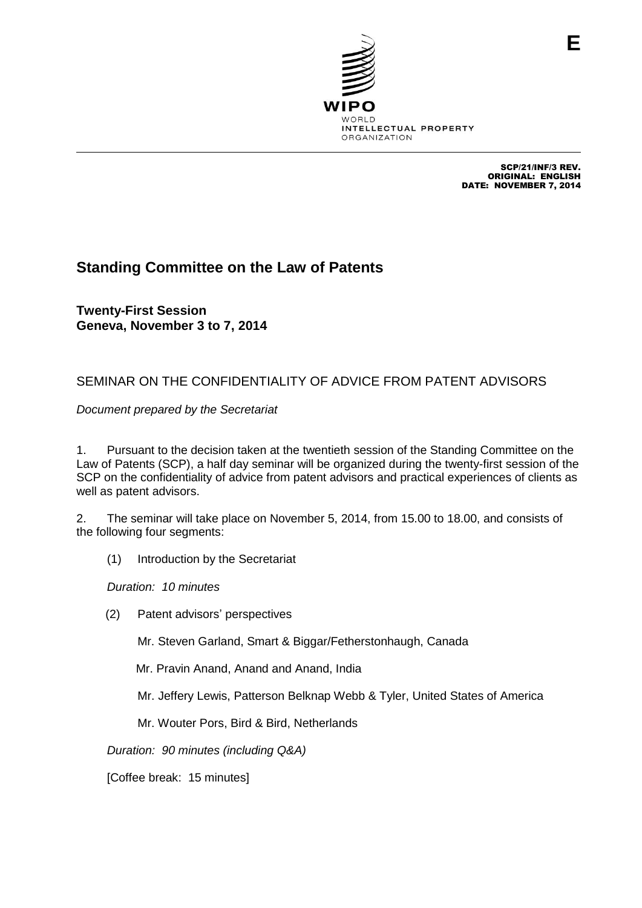

SCP/21/INF/3 REV. ORIGINAL: ENGLISH DATE: NOVEMBER 7, 2014

# **Standing Committee on the Law of Patents**

**Twenty-First Session Geneva, November 3 to 7, 2014**

# SEMINAR ON THE CONFIDENTIALITY OF ADVICE FROM PATENT ADVISORS

*Document prepared by the Secretariat*

1. Pursuant to the decision taken at the twentieth session of the Standing Committee on the Law of Patents (SCP), a half day seminar will be organized during the twenty-first session of the SCP on the confidentiality of advice from patent advisors and practical experiences of clients as well as patent advisors.

2. The seminar will take place on November 5, 2014, from 15.00 to 18.00, and consists of the following four segments:

(1) Introduction by the Secretariat

*Duration: 10 minutes*

(2) Patent advisors' perspectives

Mr. Steven Garland, Smart & Biggar/Fetherstonhaugh, Canada

Mr. Pravin Anand, Anand and Anand, India

Mr. Jeffery Lewis, Patterson Belknap Webb & Tyler, United States of America

Mr. Wouter Pors, Bird & Bird, Netherlands

*Duration: 90 minutes (including Q&A)*

[Coffee break: 15 minutes]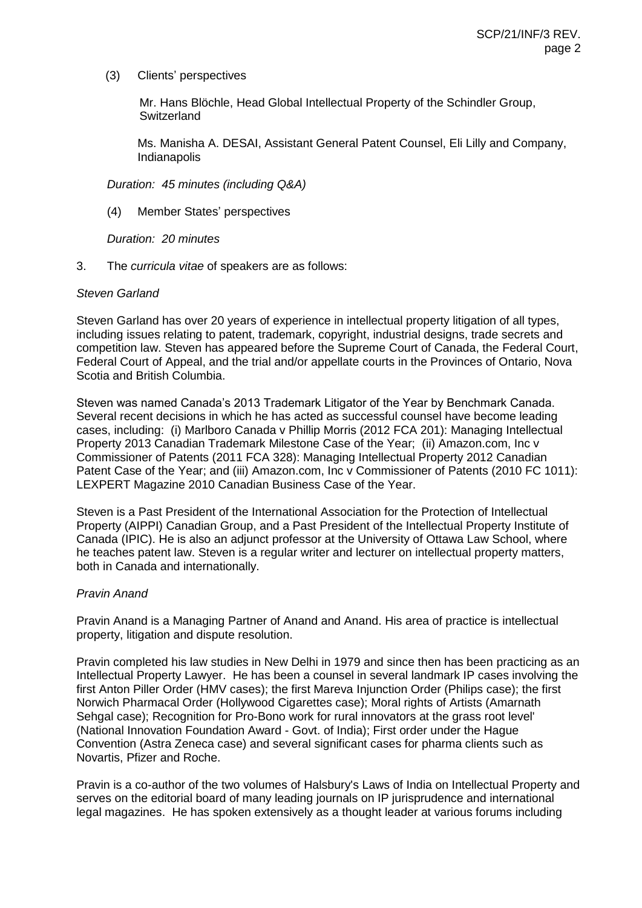(3) Clients' perspectives

Mr. Hans Blöchle, Head Global Intellectual Property of the Schindler Group, **Switzerland** 

Ms. Manisha A. DESAI, Assistant General Patent Counsel, Eli Lilly and Company, Indianapolis

*Duration: 45 minutes (including Q&A)*

(4) Member States' perspectives

*Duration: 20 minutes* 

3. The *curricula vitae* of speakers are as follows:

#### *Steven Garland*

Steven Garland has over 20 years of experience in intellectual property litigation of all types, including issues relating to patent, trademark, copyright, industrial designs, trade secrets and competition law. Steven has appeared before the Supreme Court of Canada, the Federal Court, Federal Court of Appeal, and the trial and/or appellate courts in the Provinces of Ontario, Nova Scotia and British Columbia.

Steven was named Canada's 2013 Trademark Litigator of the Year by Benchmark Canada. Several recent decisions in which he has acted as successful counsel have become leading cases, including: (i) Marlboro Canada v Phillip Morris (2012 FCA 201): Managing Intellectual Property 2013 Canadian Trademark Milestone Case of the Year; (ii) Amazon.com, Inc v Commissioner of Patents (2011 FCA 328): Managing Intellectual Property 2012 Canadian Patent Case of the Year; and (iii) Amazon.com, Inc v Commissioner of Patents (2010 FC 1011): LEXPERT Magazine 2010 Canadian Business Case of the Year.

Steven is a Past President of the International Association for the Protection of Intellectual Property (AIPPI) Canadian Group, and a Past President of the Intellectual Property Institute of Canada (IPIC). He is also an adjunct professor at the University of Ottawa Law School, where he teaches patent law. Steven is a regular writer and lecturer on intellectual property matters, both in Canada and internationally.

## *Pravin Anand*

Pravin Anand is a Managing Partner of Anand and Anand. His area of practice is intellectual property, litigation and dispute resolution.

Pravin completed his law studies in New Delhi in 1979 and since then has been practicing as an Intellectual Property Lawyer. He has been a counsel in several landmark IP cases involving the first Anton Piller Order (HMV cases); the first Mareva Injunction Order (Philips case); the first Norwich Pharmacal Order (Hollywood Cigarettes case); Moral rights of Artists (Amarnath Sehgal case); Recognition for Pro-Bono work for rural innovators at the grass root level' (National Innovation Foundation Award - Govt. of India); First order under the Hague Convention (Astra Zeneca case) and several significant cases for pharma clients such as Novartis, Pfizer and Roche.

Pravin is a co-author of the two volumes of Halsbury's Laws of India on Intellectual Property and serves on the editorial board of many leading journals on IP jurisprudence and international legal magazines. He has spoken extensively as a thought leader at various forums including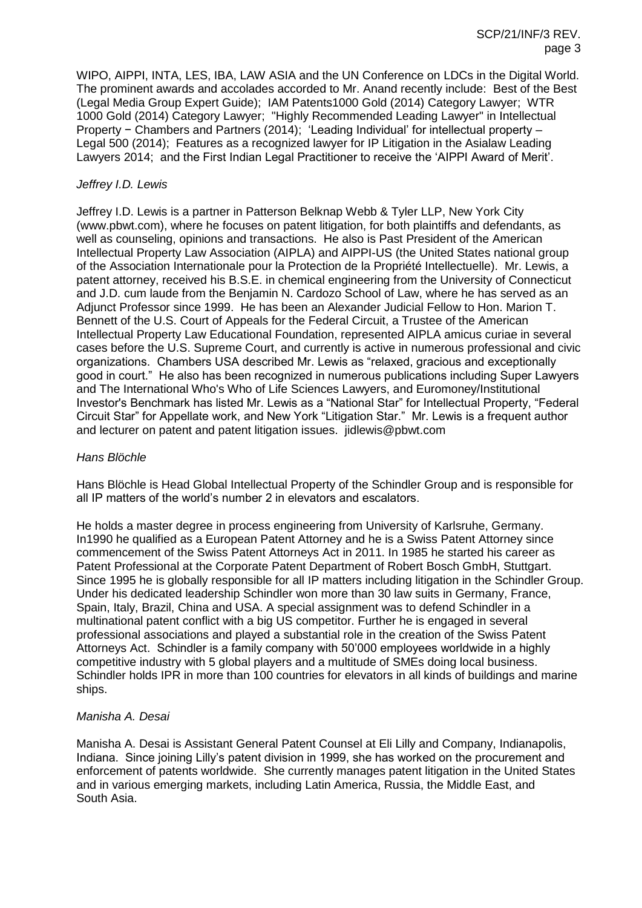WIPO, AIPPI, INTA, LES, IBA, LAW ASIA and the UN Conference on LDCs in the Digital World. The prominent awards and accolades accorded to Mr. Anand recently include: Best of the Best (Legal Media Group Expert Guide); IAM Patents1000 Gold (2014) Category Lawyer; WTR 1000 Gold (2014) Category Lawyer; "Highly Recommended Leading Lawyer" in Intellectual Property − Chambers and Partners (2014); 'Leading Individual' for intellectual property – Legal 500 (2014); Features as a recognized lawyer for IP Litigation in the Asialaw Leading Lawyers 2014; and the First Indian Legal Practitioner to receive the 'AIPPI Award of Merit'.

### *Jeffrey I.D. Lewis*

Jeffrey I.D. Lewis is a partner in Patterson Belknap Webb & Tyler LLP, New York City (www.pbwt.com), where he focuses on patent litigation, for both plaintiffs and defendants, as well as counseling, opinions and transactions. He also is Past President of the American Intellectual Property Law Association (AIPLA) and AIPPI-US (the United States national group of the Association Internationale pour la Protection de la Propriété Intellectuelle). Mr. Lewis, a patent attorney, received his B.S.E. in chemical engineering from the University of Connecticut and J.D. cum laude from the Benjamin N. Cardozo School of Law, where he has served as an Adjunct Professor since 1999. He has been an Alexander Judicial Fellow to Hon. Marion T. Bennett of the U.S. Court of Appeals for the Federal Circuit, a Trustee of the American Intellectual Property Law Educational Foundation, represented AIPLA amicus curiae in several cases before the U.S. Supreme Court, and currently is active in numerous professional and civic organizations. Chambers USA described Mr. Lewis as "relaxed, gracious and exceptionally good in court." He also has been recognized in numerous publications including Super Lawyers and The International Who's Who of Life Sciences Lawyers, and Euromoney/Institutional Investor's Benchmark has listed Mr. Lewis as a "National Star" for Intellectual Property, "Federal Circuit Star" for Appellate work, and New York "Litigation Star." Mr. Lewis is a frequent author and lecturer on patent and patent litigation issues. jidlewis@pbwt.com

### *Hans Blöchle*

Hans Blöchle is Head Global Intellectual Property of the Schindler Group and is responsible for all IP matters of the world's number 2 in elevators and escalators.

He holds a master degree in process engineering from University of Karlsruhe, Germany. In1990 he qualified as a European Patent Attorney and he is a Swiss Patent Attorney since commencement of the Swiss Patent Attorneys Act in 2011. In 1985 he started his career as Patent Professional at the Corporate Patent Department of Robert Bosch GmbH, Stuttgart. Since 1995 he is globally responsible for all IP matters including litigation in the Schindler Group. Under his dedicated leadership Schindler won more than 30 law suits in Germany, France, Spain, Italy, Brazil, China and USA. A special assignment was to defend Schindler in a multinational patent conflict with a big US competitor. Further he is engaged in several professional associations and played a substantial role in the creation of the Swiss Patent Attorneys Act. Schindler is a family company with 50'000 employees worldwide in a highly competitive industry with 5 global players and a multitude of SMEs doing local business. Schindler holds IPR in more than 100 countries for elevators in all kinds of buildings and marine ships.

#### *Manisha A. Desai*

Manisha A. Desai is Assistant General Patent Counsel at Eli Lilly and Company, Indianapolis, Indiana. Since joining Lilly's patent division in 1999, she has worked on the procurement and enforcement of patents worldwide. She currently manages patent litigation in the United States and in various emerging markets, including Latin America, Russia, the Middle East, and South Asia.